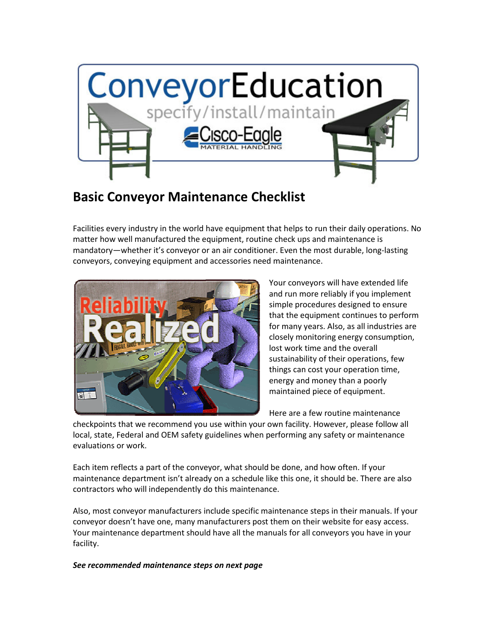

## Basic Conveyor Maintenance Checklist

Facilities every industry in the world have equipment that helps to run their daily operations. No matter how well manufactured the equipment, routine check ups and maintenance is mandatory—whether it's conveyor or an air conditioner. Even the most durable, long-lasting conveyors, conveying equipment and accessories need maintenance.



Your conveyors will have extended life and run more reliably if you implement simple procedures designed to ensure that the equipment continues to perform for many years. Also, as all industries are closely monitoring energy consumption, lost work time and the overall sustainability of their operations, few things can cost your operation time, energy and money than a poorly maintained piece of equipment.

Here are a few routine maintenance

checkpoints that we recommend you use within your own facility. However, please follow all local, state, Federal and OEM safety guidelines when performing any safety or maintenance evaluations or work.

Each item reflects a part of the conveyor, what should be done, and how often. If your maintenance department isn't already on a schedule like this one, it should be. There are also contractors who will independently do this maintenance.

Also, most conveyor manufacturers include specific maintenance steps in their manuals. If your conveyor doesn't have one, many manufacturers post them on their website for easy access. Your maintenance department should have all the manuals for all conveyors you have in your facility.

## See recommended maintenance steps on next page